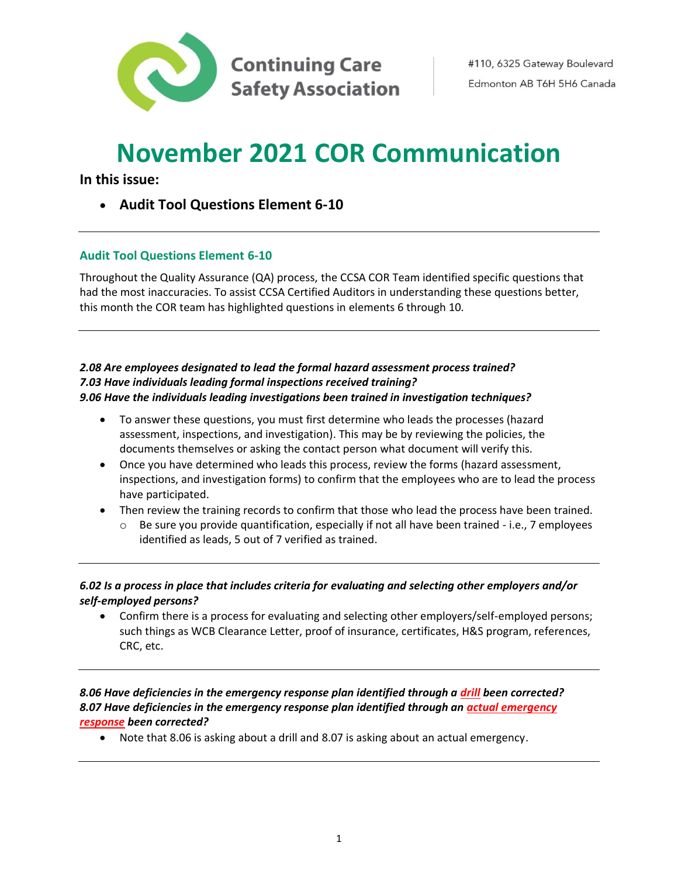

# **November 2021 COR Communication**

**In this issue:**

• **Audit Tool Questions Element 6-10**

# **Audit Tool Questions Element 6-10**

Throughout the Quality Assurance (QA) process, the CCSA COR Team identified specific questions that had the most inaccuracies. To assist CCSA Certified Auditors in understanding these questions better, this month the COR team has highlighted questions in elements 6 through 10.

### *2.08 Are employees designated to lead the formal hazard assessment process trained? 7.03 Have individuals leading formal inspections received training? 9.06 Have the individuals leading investigations been trained in investigation techniques?*

- To answer these questions, you must first determine who leads the processes (hazard assessment, inspections, and investigation). This may be by reviewing the policies, the documents themselves or asking the contact person what document will verify this.
- Once you have determined who leads this process, review the forms (hazard assessment, inspections, and investigation forms) to confirm that the employees who are to lead the process have participated.
- Then review the training records to confirm that those who lead the process have been trained.
	- $\circ$  Be sure you provide quantification, especially if not all have been trained i.e., 7 employees identified as leads, 5 out of 7 verified as trained.

# *6.02 Is a process in place that includes criteria for evaluating and selecting other employers and/or self-employed persons?*

• Confirm there is a process for evaluating and selecting other employers/self-employed persons; such things as WCB Clearance Letter, proof of insurance, certificates, H&S program, references, CRC, etc.

# *8.06 Have deficiencies in the emergency response plan identified through a drill been corrected? 8.07 Have deficiencies in the emergency response plan identified through an actual emergency response been corrected?*

• Note that 8.06 is asking about a drill and 8.07 is asking about an actual emergency.